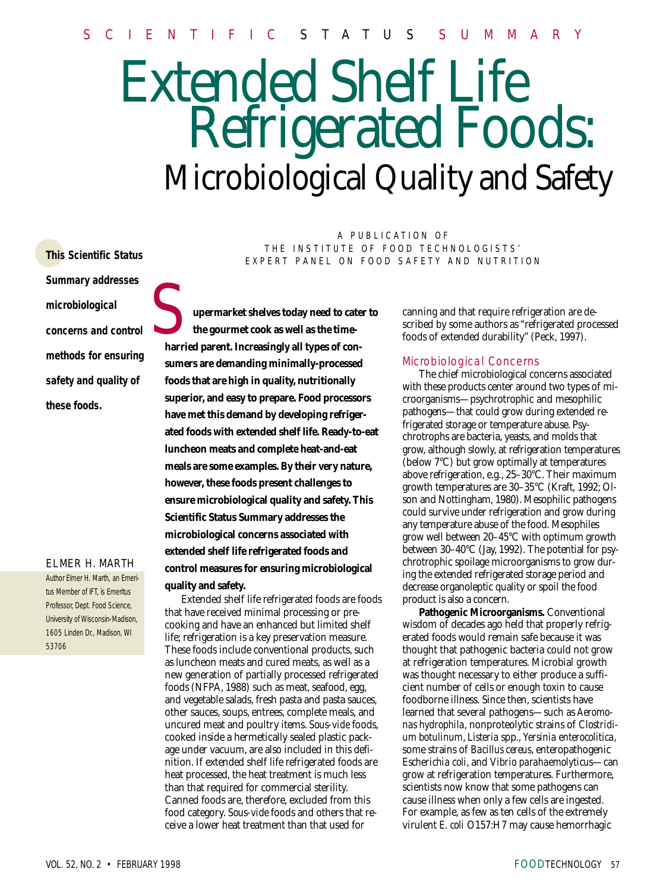# Extended Shelf Life Refrigerated Foods: Microbiological Quality and Safety

**This Scientific Status Summary addresses microbiological concerns and control methods for ensuring safety and quality of these foods.**

#### ELMER H. MARTH

Author Elmer H. Marth, an Emeritus Member of IFT, is Emeritus Professor, Dept. Food Science, University of Wisconsin-Madison, 1605 Linden Dr., Madison, WI 53706

A PUBLICATION OF THE INSTITUTE OF FOOD TECHNOLOGISTS' EXPERT PANEL ON FOOD SAFETY AND NUTRITION

**upermarket shelves today need to cater to the gourmet cook as well as the timeharried parent. Increasingly all types of consumers are demanding minimally-processed foods that are high in quality, nutritionally superior, and easy to prepare. Food processors have met this demand by developing refrigerated foods with extended shelf life. Ready-to-eat luncheon meats and complete heat-and-eat meals are some examples. By their very nature, however, these foods present challenges to ensure microbiological quality and safety. This Scientific Status Summary addresses the microbiological concerns associated with extended shelf life refrigerated foods and control measures for ensuring microbiological quality and safety.** S

Extended shelf life refrigerated foods are foods that have received minimal processing or precooking and have an enhanced but limited shelf life; refrigeration is a key preservation measure. These foods include conventional products, such as luncheon meats and cured meats, as well as a new generation of partially processed refrigerated foods (NFPA, 1988) such as meat, seafood, egg, and vegetable salads, fresh pasta and pasta sauces, other sauces, soups, entrees, complete meals, and uncured meat and poultry items. *Sous-vide* foods, cooked inside a hermetically sealed plastic package under vacuum, are also included in this definition. If extended shelf life refrigerated foods are heat processed, the heat treatment is much less than that required for commercial sterility. Canned foods are, therefore, excluded from this food category. *Sous-vide* foods and others that receive a lower heat treatment than that used for

canning and that require refrigeration are described by some authors as "refrigerated processed foods of extended durability" (Peck, 1997).

#### Microbiological Concerns

The chief microbiological concerns associated with these products center around two types of microorganisms—psychrotrophic and mesophilic pathogens—that could grow during extended refrigerated storage or temperature abuse. Psychrotrophs are bacteria, yeasts, and molds that grow, although slowly, at refrigeration temperatures (below 7°C) but grow optimally at temperatures above refrigeration, e.g., 25–30°C. Their maximum growth temperatures are 30–35°C (Kraft, 1992; Olson and Nottingham, 1980). Mesophilic pathogens could survive under refrigeration and grow during any temperature abuse of the food. Mesophiles grow well between 20–45°C with optimum growth between 30–40°C (Jay, 1992). The potential for psychrotrophic spoilage microorganisms to grow during the extended refrigerated storage period and decrease organoleptic quality or spoil the food product is also a concern.

**Pathogenic Microorganisms.** Conventional wisdom of decades ago held that properly refrigerated foods would remain safe because it was thought that pathogenic bacteria could not grow at refrigeration temperatures. Microbial growth was thought necessary to either produce a sufficient number of cells or enough toxin to cause foodborne illness. Since then, scientists have learned that several pathogens—such as *Aeromonas hydrophila*, nonproteolytic strains of *Clostridium botulinum*, *Listeria* spp., *Yersinia enterocolitica*, some strains of *Bacillus cereus*, enteropathogenic *Escherichia coli*, and *Vibrio parahaemolyticus*—can grow at refrigeration temperatures. Furthermore, scientists now know that some pathogens can cause illness when only a few cells are ingested. For example, as few as ten cells of the extremely virulent *E. coli* O157:H7 may cause hemorrhagic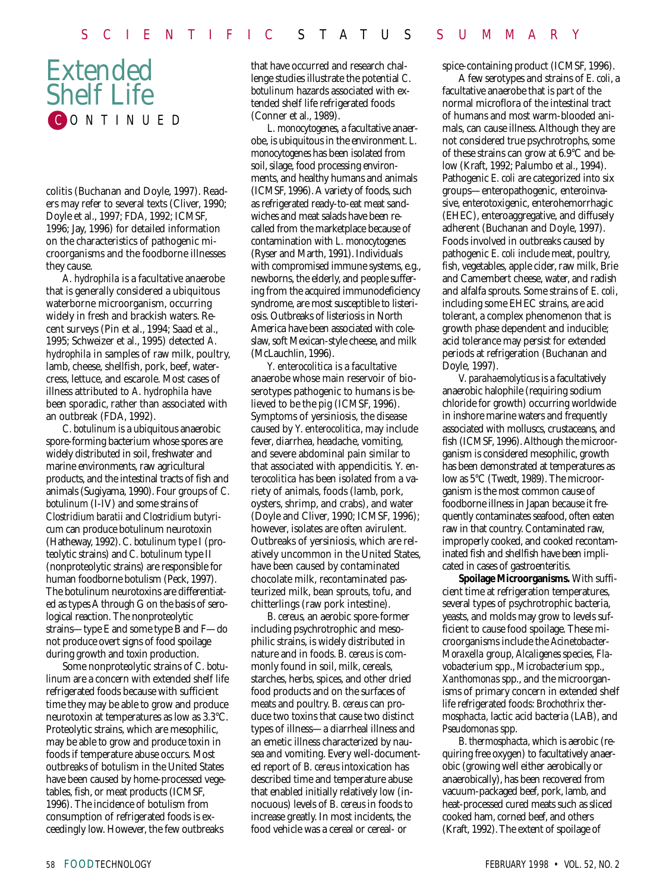## Extended Shelf Life C ONTINUED

colitis (Buchanan and Doyle, 1997). Readers may refer to several texts (Cliver, 1990; Doyle et al., 1997; FDA, 1992; ICMSF, 1996; Jay, 1996) for detailed information on the characteristics of pathogenic microorganisms and the foodborne illnesses they cause.

*A. hydrophila* is a facultative anaerobe that is generally considered a ubiquitous waterborne microorganism, occurring widely in fresh and brackish waters. Recent surveys (Pin et al., 1994; Saad et al., 1995; Schweizer et al., 1995) detected *A. hydrophila* in samples of raw milk, poultry, lamb, cheese, shellfish, pork, beef, watercress, lettuce, and escarole. Most cases of illness attributed to *A. hydrophila* have been sporadic, rather than associated with an outbreak (FDA, 1992).

*C. botulinum* is a ubiquitous anaerobic spore-forming bacterium whose spores are widely distributed in soil, freshwater and marine environments, raw agricultural products, and the intestinal tracts of fish and animals (Sugiyama, 1990). Four groups of *C. botulinum* (I-IV) and some strains of *Clostridium baratii* and *Clostridium butyricum* can produce botulinum neurotoxin (Hatheway, 1992). *C. botulinum* type I (proteolytic strains) and *C. botulinum* type II (nonproteolytic strains) are responsible for human foodborne botulism (Peck, 1997). The botulinum neurotoxins are differentiated as types A through G on the basis of serological reaction. The nonproteolytic strains—type E and some type B and F—do not produce overt signs of food spoilage during growth and toxin production.

Some nonproteolytic strains of *C. botulinum* are a concern with extended shelf life refrigerated foods because with sufficient time they may be able to grow and produce neurotoxin at temperatures as low as 3.3°C. Proteolytic strains, which are mesophilic, may be able to grow and produce toxin in foods if temperature abuse occurs. Most outbreaks of botulism in the United States have been caused by home-processed vegetables, fish, or meat products (ICMSF, 1996). The incidence of botulism from consumption of refrigerated foods is exceedingly low. However, the few outbreaks

that have occurred and research challenge studies illustrate the potential *C. botulinum* hazards associated with extended shelf life refrigerated foods (Conner et al., 1989).

*L. monocytogenes*, a facultative anaerobe, is ubiquitous in the environment. *L. monocytogenes* has been isolated from soil, silage, food processing environments, and healthy humans and animals (ICMSF, 1996). A variety of foods, such as refrigerated ready-to-eat meat sandwiches and meat salads have been recalled from the marketplace because of contamination with *L. monocytogenes* (Ryser and Marth, 1991). Individuals with compromised immune systems, e.g., newborns, the elderly, and people suffering from the acquired immunodeficiency syndrome, are most susceptible to listeriosis. Outbreaks of listeriosis in North America have been associated with coleslaw, soft Mexican-style cheese, and milk (McLauchlin, 1996).

*Y. enterocolitica* is a facultative anaerobe whose main reservoir of bioserotypes pathogenic to humans is believed to be the pig (ICMSF, 1996). Symptoms of yersiniosis, the disease caused by *Y. enterocolitica*, may include fever, diarrhea, headache, vomiting, and severe abdominal pain similar to that associated with appendicitis. *Y. enterocolitica* has been isolated from a variety of animals, foods (lamb, pork, oysters, shrimp, and crabs), and water (Doyle and Cliver, 1990; ICMSF, 1996); however, isolates are often avirulent. Outbreaks of yersiniosis, which are relatively uncommon in the United States, have been caused by contaminated chocolate milk, recontaminated pasteurized milk, bean sprouts, tofu, and chitterlings (raw pork intestine).

*B. cereus,* an aerobic spore-former including psychrotrophic and mesophilic strains, is widely distributed in nature and in foods. *B. cereus* is commonly found in soil, milk, cereals, starches, herbs, spices, and other dried food products and on the surfaces of meats and poultry. *B. cereus* can produce two toxins that cause two distinct types of illness—a diarrheal illness and an emetic illness characterized by nausea and vomiting. Every well-documented report of *B. cereus* intoxication has described time and temperature abuse that enabled initially relatively low (innocuous) levels of *B. cereus* in foods to increase greatly. In most incidents, the food vehicle was a cereal or cereal- or

spice-containing product (ICMSF, 1996).

A few serotypes and strains of *E. coli*, a facultative anaerobe that is part of the normal microflora of the intestinal tract of humans and most warm-blooded animals, can cause illness. Although they are not considered true psychrotrophs, some of these strains can grow at 6.9°C and below (Kraft, 1992; Palumbo et al., 1994). Pathogenic *E. coli* are categorized into six groups—enteropathogenic, enteroinvasive, enterotoxigenic, enterohemorrhagic (EHEC), enteroaggregative, and diffusely adherent (Buchanan and Doyle, 1997). Foods involved in outbreaks caused by pathogenic *E. coli* include meat, poultry, fish, vegetables, apple cider, raw milk, Brie and Camembert cheese, water, and radish and alfalfa sprouts. Some strains of *E. coli*, including some EHEC strains, are acid tolerant, a complex phenomenon that is growth phase dependent and inducible; acid tolerance may persist for extended periods at refrigeration (Buchanan and Doyle, 1997).

*V. parahaemolyticus* is a facultatively anaerobic halophile (requiring sodium chloride for growth) occurring worldwide in inshore marine waters and frequently associated with molluscs, crustaceans, and fish (ICMSF, 1996). Although the microorganism is considered mesophilic, growth has been demonstrated at temperatures as low as 5°C (Twedt, 1989). The microorganism is the most common cause of foodborne illness in Japan because it frequently contaminates seafood, often eaten raw in that country. Contaminated raw, improperly cooked, and cooked recontaminated fish and shellfish have been implicated in cases of gastroenteritis.

**Spoilage Microorganisms.** With sufficient time at refrigeration temperatures, several types of psychrotrophic bacteria, yeasts, and molds may grow to levels sufficient to cause food spoilage. These microorganisms include the *Acinetobacter*-*Moraxella* group, *Alcaligenes* species, *Flavobacterium* spp., *Microbacterium* spp., *Xanthomonas* spp., and the microorganisms of primary concern in extended shelf life refrigerated foods: *Brochothrix thermosphacta,* lactic acid bacteria (LAB), and *Pseudomonas* spp.

*B. thermosphacta,* which is aerobic (requiring free oxygen) to facultatively anaerobic (growing well either aerobically or anaerobically), has been recovered from vacuum-packaged beef, pork, lamb, and heat-processed cured meats such as sliced cooked ham, corned beef, and others (Kraft, 1992). The extent of spoilage of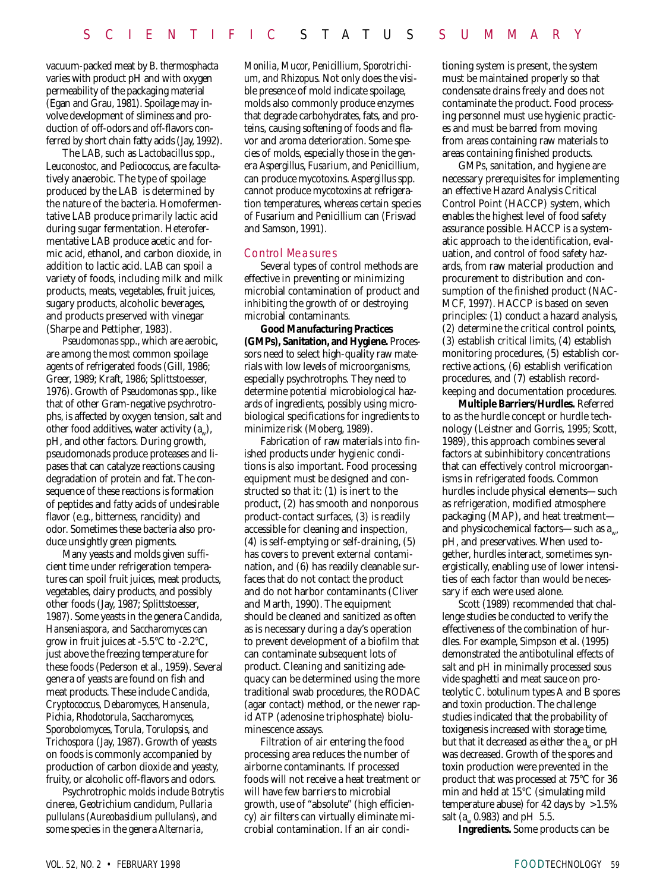vacuum-packed meat by *B. thermosphacta* varies with product pH and with oxygen permeability of the packaging material (Egan and Grau, 1981). Spoilage may involve development of sliminess and production of off-odors and off-flavors conferred by short chain fatty acids (Jay, 1992).

The LAB, such as *Lactobacillus* spp., *Leuconostoc*, and *Pediococcus*, are facultatively anaerobic. The type of spoilage produced by the LAB is determined by the nature of the bacteria. Homofermentative LAB produce primarily lactic acid during sugar fermentation. Heterofermentative LAB produce acetic and formic acid, ethanol, and carbon dioxide, in addition to lactic acid. LAB can spoil a variety of foods, including milk and milk products, meats, vegetables, fruit juices, sugary products, alcoholic beverages, and products preserved with vinegar (Sharpe and Pettipher, 1983).

*Pseudomonas* spp., which are aerobic, are among the most common spoilage agents of refrigerated foods (Gill, 1986; Greer, 1989; Kraft, 1986; Splittstoesser, 1976). Growth of *Pseudomonas* spp., like that of other Gram-negative psychrotrophs, is affected by oxygen tension, salt and other food additives, water activity  $(a_{\ldots})$ , pH, and other factors. During growth, pseudomonads produce proteases and lipases that can catalyze reactions causing degradation of protein and fat. The consequence of these reactions is formation of peptides and fatty acids of undesirable flavor (e.g., bitterness, rancidity) and odor. Sometimes these bacteria also produce unsightly green pigments.

Many yeasts and molds given sufficient time under refrigeration temperatures can spoil fruit juices, meat products, vegetables, dairy products, and possibly other foods (Jay, 1987; Splittstoesser, 1987). Some yeasts in the genera *Candida, Hanseniaspora,* and *Saccharomyces* can grow in fruit juices at -5.5°C to -2.2°C, just above the freezing temperature for these foods (Pederson et al., 1959). Several genera of yeasts are found on fish and meat products. These include *Candida*, *Cryptococcus*, *Debaromyces*, *Hansenula*, *Pichia*, *Rhodotorula*, *Saccharomyces*, *Sporobolomyces*, *Torula*, *Torulopsis*, and *Trichospora* (Jay, 1987). Growth of yeasts on foods is commonly accompanied by production of carbon dioxide and yeasty, fruity, or alcoholic off-flavors and odors.

Psychrotrophic molds include *Botrytis cinerea, Geotrichium candidum*, *Pullaria pullulans (Aureobasidium pullulans),* and some species in the genera *Alternaria,*

*Monilia, Mucor, Penicillium, Sporotrichium, and Rhizopus.* Not only does the visible presence of mold indicate spoilage, molds also commonly produce enzymes that degrade carbohydrates, fats, and proteins, causing softening of foods and flavor and aroma deterioration. Some species of molds, especially those in the genera *Aspergillus*, *Fusarium*, and *Penicillium*, can produce mycotoxins. *Aspergillus* spp. cannot produce mycotoxins at refrigeration temperatures, whereas certain species of *Fusarium* and *Penicillium* can (Frisvad and Samson, 1991).

#### Control Measures

Several types of control methods are effective in preventing or minimizing microbial contamination of product and inhibiting the growth of or destroying microbial contaminants.

**Good Manufacturing Practices (GMPs), Sanitation, and Hygiene.** Processors need to select high-quality raw materials with low levels of microorganisms, especially psychrotrophs. They need to determine potential microbiological hazards of ingredients, possibly using microbiological specifications for ingredients to minimize risk (Moberg, 1989).

Fabrication of raw materials into finished products under hygienic conditions is also important. Food processing equipment must be designed and constructed so that it: (1) is inert to the product, (2) has smooth and nonporous product-contact surfaces, (3) is readily accessible for cleaning and inspection, (4) is self-emptying or self-draining, (5) has covers to prevent external contamination, and (6) has readily cleanable surfaces that do not contact the product and do not harbor contaminants (Cliver and Marth, 1990). The equipment should be cleaned and sanitized as often as is necessary during a day's operation to prevent development of a biofilm that can contaminate subsequent lots of product. Cleaning and sanitizing adequacy can be determined using the more traditional swab procedures, the RODAC (agar contact) method, or the newer rapid ATP (adenosine triphosphate) bioluminescence assays.

Filtration of air entering the food processing area reduces the number of airborne contaminants. If processed foods will not receive a heat treatment or will have few barriers to microbial growth, use of "absolute" (high efficiency) air filters can virtually eliminate microbial contamination. If an air conditioning system is present, the system must be maintained properly so that condensate drains freely and does not contaminate the product. Food processing personnel must use hygienic practices and must be barred from moving from areas containing raw materials to areas containing finished products.

GMPs, sanitation, and hygiene are necessary prerequisites for implementing an effective Hazard Analysis Critical Control Point (HACCP) system, which enables the highest level of food safety assurance possible. HACCP is a systematic approach to the identification, evaluation, and control of food safety hazards, from raw material production and procurement to distribution and consumption of the finished product (NAC-MCF, 1997). HACCP is based on seven principles: (1) conduct a hazard analysis, (2) determine the critical control points, (3) establish critical limits, (4) establish monitoring procedures, (5) establish corrective actions, (6) establish verification procedures, and (7) establish recordkeeping and documentation procedures.

**Multiple Barriers/Hurdles.** Referred to as the hurdle concept or hurdle technology (Leistner and Gorris, 1995; Scott, 1989), this approach combines several factors at subinhibitory concentrations that can effectively control microorganisms in refrigerated foods. Common hurdles include physical elements—such as refrigeration, modified atmosphere packaging (MAP), and heat treatment and physicochemical factors—such as  $a_{\omega}$ , pH, and preservatives. When used together, hurdles interact, sometimes synergistically, enabling use of lower intensities of each factor than would be necessary if each were used alone.

Scott (1989) recommended that challenge studies be conducted to verify the effectiveness of the combination of hurdles. For example, Simpson et al. (1995) demonstrated the antibotulinal effects of salt and pH in minimally processed *sous vide* spaghetti and meat sauce on proteolytic *C. botulinum* types A and B spores and toxin production. The challenge studies indicated that the probability of toxigenesis increased with storage time, but that it decreased as either the  $a_w$  or  $pH$ was decreased. Growth of the spores and toxin production were prevented in the product that was processed at 75°C for 36 min and held at 15°C (simulating mild temperature abuse) for 42 days by >1.5% salt (a*w* 0.983) and pH 5.5.

**Ingredients.** Some products can be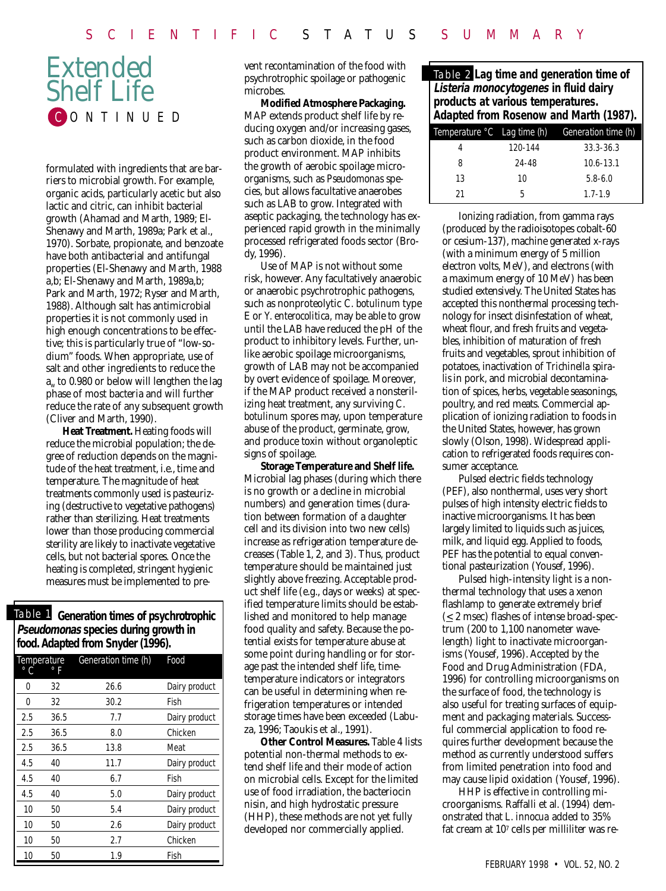## Extended Shelf Life CONTINUED

formulated with ingredients that are barriers to microbial growth. For example, organic acids, particularly acetic but also lactic and citric, can inhibit bacterial growth (Ahamad and Marth, 1989; El-Shenawy and Marth, 1989a; Park et al., 1970). Sorbate, propionate, and benzoate have both antibacterial and antifungal properties (El-Shenawy and Marth, 1988 a,b; El-Shenawy and Marth, 1989a,b; Park and Marth, 1972; Ryser and Marth, 1988). Although salt has antimicrobial properties it is not commonly used in high enough concentrations to be effective; this is particularly true of "low-sodium" foods. When appropriate, use of salt and other ingredients to reduce the  $a<sub>w</sub>$  to 0.980 or below will lengthen the lag phase of most bacteria and will further reduce the rate of any subsequent growth (Cliver and Marth, 1990).

**Heat Treatment.** Heating foods will reduce the microbial population; the degree of reduction depends on the magnitude of the heat treatment, i.e., time and temperature. The magnitude of heat treatments commonly used is pasteurizing (destructive to vegetative pathogens) rather than sterilizing. Heat treatments lower than those producing commercial sterility are likely to inactivate vegetative cells, but not bacterial spores*.* Once the heating is completed, stringent hygienic measures must be implemented to pre-

Table 1 **Generation times of psychrotrophic Pseudomonas species during growth in food. Adapted from Snyder (1996).**

| Temperature<br>C<br>F |      | Generation time (h) | Food          |
|-----------------------|------|---------------------|---------------|
| 0                     | 32   | 26.6                | Dairy product |
| 0                     | 32   | 30.2                | Fish          |
| 2.5                   | 36.5 | 7.7                 | Dairy product |
| 2.5                   | 36.5 | 8.0                 | Chicken       |
| 2.5                   | 36.5 | 13.8                | Meat          |
| 4.5                   | 40   | 11.7                | Dairy product |
| 4.5                   | 40   | 6.7                 | Fish          |
| 4.5                   | 40   | 5.0                 | Dairy product |
| 10                    | 50   | 5.4                 | Dairy product |
| 10                    | 50   | 2.6                 | Dairy product |
| 10                    | 50   | 2.7                 | Chicken       |
| 10                    | 50   | 1.9                 | Fish          |

vent recontamination of the food with psychrotrophic spoilage or pathogenic microbes.

**Modified Atmosphere Packaging.** MAP extends product shelf life by reducing oxygen and/or increasing gases, such as carbon dioxide, in the food product environment. MAP inhibits the growth of aerobic spoilage microorganisms, such as *Pseudomonas* species, but allows facultative anaerobes such as LAB to grow. Integrated with aseptic packaging, the technology has experienced rapid growth in the minimally processed refrigerated foods sector (Brody, 1996).

Use of MAP is not without some risk, however. Any facultatively anaerobic or anaerobic psychrotrophic pathogens, such as nonproteolytic *C. botulinum* type E or *Y. enterocolitica,* may be able to grow until the LAB have reduced the pH of the product to inhibitory levels. Further, unlike aerobic spoilage microorganisms, growth of LAB may not be accompanied by overt evidence of spoilage. Moreover, if the MAP product received a nonsterilizing heat treatment, any surviving *C. botulinum* spores may, upon temperature abuse of the product, germinate, grow, and produce toxin without organoleptic signs of spoilage.

**Storage Temperature and Shelf life.** Microbial lag phases (during which there is no growth or a decline in microbial numbers) and generation times (duration between formation of a daughter cell and its division into two new cells) increase as refrigeration temperature decreases (Table 1, 2, and 3). Thus, product temperature should be maintained just slightly above freezing. Acceptable product shelf life (e.g., days or weeks) at specified temperature limits should be established and monitored to help manage food quality and safety. Because the potential exists for temperature abuse at some point during handling or for storage past the intended shelf life, timetemperature indicators or integrators can be useful in determining when refrigeration temperatures or intended storage times have been exceeded (Labuza, 1996; Taoukis et al., 1991).

**Other Control Measures.** Table 4 lists potential non-thermal methods to extend shelf life and their mode of action on microbial cells. Except for the limited use of food irradiation, the bacteriocin nisin, and high hydrostatic pressure (HHP), these methods are not yet fully developed nor commercially applied.

Table 2 **Lag time and generation time of Listeria monocytogenes in fluid dairy products at various temperatures. Adapted from Rosenow and Marth (1987).**

| Temperature °C Lag time (h) |         | Generation time (h) |
|-----------------------------|---------|---------------------|
| 4                           | 120-144 | $33.3 - 36.3$       |
| 8                           | 24-48   | $10.6 - 13.1$       |
| 13                          | 10      | $5.8 - 6.0$         |
| 21                          | 5       | $1.7 - 1.9$         |

Ionizing radiation, from gamma rays (produced by the radioisotopes cobalt-60 or cesium-137), machine generated x-rays (with a minimum energy of 5 million electron volts, MeV), and electrons (with a maximum energy of 10 MeV) has been studied extensively. The United States has accepted this nonthermal processing technology for insect disinfestation of wheat, wheat flour, and fresh fruits and vegetables, inhibition of maturation of fresh fruits and vegetables, sprout inhibition of potatoes, inactivation of *Trichinella spiralis* in pork, and microbial decontamination of spices, herbs, vegetable seasonings, poultry, and red meats. Commercial application of ionizing radiation to foods in the United States, however, has grown slowly (Olson, 1998). Widespread application to refrigerated foods requires consumer acceptance.

Pulsed electric fields technology (PEF), also nonthermal, uses very short pulses of high intensity electric fields to inactive microorganisms. It has been largely limited to liquids such as juices, milk, and liquid egg. Applied to foods, PEF has the potential to equal conventional pasteurization (Yousef, 1996).

Pulsed high-intensity light is a nonthermal technology that uses a xenon flashlamp to generate extremely brief  $(\leq 2$  msec) flashes of intense broad-spectrum (200 to 1,100 nanometer wavelength) light to inactivate microorganisms (Yousef, 1996). Accepted by the Food and Drug Administration (FDA, 1996) for controlling microorganisms on the surface of food, the technology is also useful for treating surfaces of equipment and packaging materials. Successful commercial application to food requires further development because the method as currently understood suffers from limited penetration into food and may cause lipid oxidation (Yousef, 1996).

HHP is effective in controlling microorganisms. Raffalli et al. (1994) demonstrated that *L. innocua* added to 35% fat cream at 107 cells per milliliter was re-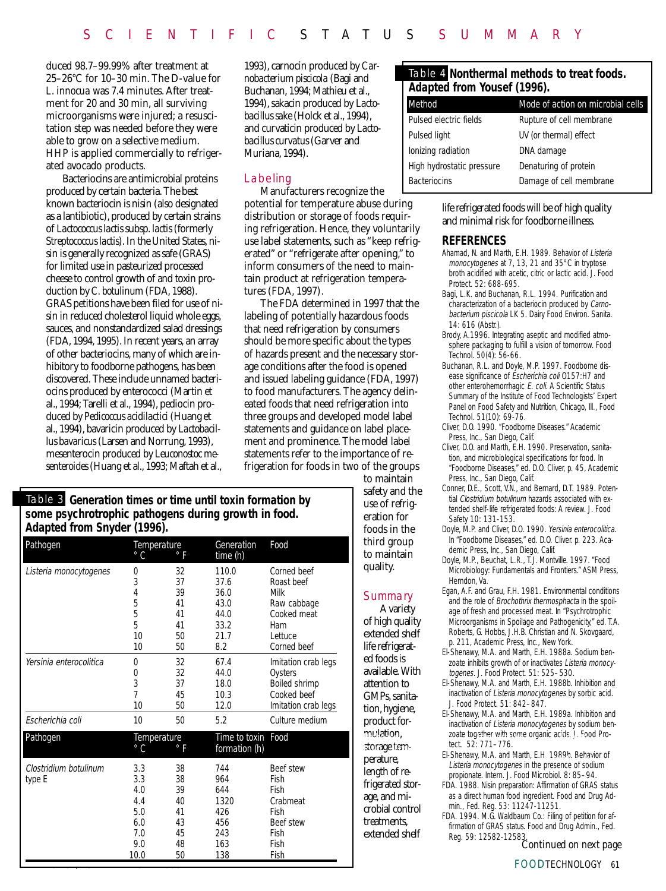duced 98.7–99.99% after treatment at 25–26°C for 10–30 min. The D-value for *L. innocua* was 7.4 minutes. After treatment for 20 and 30 min, all surviving microorganisms were injured; a resuscitation step was needed before they were able to grow on a selective medium. HHP is applied commercially to refrigerated avocado products.

Bacteriocins are antimicrobial proteins produced by certain bacteria. The best known bacteriocin is nisin (also designated as a lantibiotic), produced by certain strains of *Lactococcus lactis* subsp. *lactis* (formerly *Streptococcus lactis*). In the United States, nisin is generally recognized as safe (GRAS) for limited use in pasteurized processed cheese to control growth of and toxin production by *C. botulinum* (FDA, 1988). GRAS petitions have been filed for use of nisin in reduced cholesterol liquid whole eggs, sauces, and nonstandardized salad dressings (FDA, 1994, 1995). In recent years, an array of other bacteriocins, many of which are inhibitory to foodborne pathogens, has been discovered. These include unnamed bacteriocins produced by enterococci (Martin et al., 1994; Tarelli et al., 1994), pediocin produced by *Pedicoccus acidilactici* (Huang et al., 1994), bavaricin produced by *Lactobacillus bavaricus* (Larsen and Norrung, 1993), mesenterocin produced by *Leuconostoc mesenteroides* (Huang et al., 1993; Maftah et al.,

1993), carnocin produced by *Carnobacterium piscicola* (Bagi and Buchanan, 1994; Mathieu et al., 1994), sakacin produced by *Lactobacillus sake* (Holck et al., 1994), and curvaticin produced by *Lactobacillus curvatus* (Garver and Muriana, 1994).

#### Labeling

Manufacturers recognize the

potential for temperature abuse during distribution or storage of foods requiring refrigeration. Hence, they voluntarily use label statements, such as "keep refrigerated" or "refrigerate after opening," to inform consumers of the need to maintain product at refrigeration temperatures (FDA, 1997).

The FDA determined in 1997 that the labeling of potentially hazardous foods that need refrigeration by consumers should be more specific about the types of hazards present and the necessary storage conditions after the food is opened and issued labeling guidance (FDA, 1997) to food manufacturers. The agency delineated foods that need refrigeration into three groups and developed model label statements and guidance on label placement and prominence. The model label statements refer to the importance of refrigeration for foods in two of the groups

#### to maintain safety and the use of refrigeration for foods in the third group to maintain quality.

#### Summary

A variety of high quality extended shelf life refrigerated foods is available. With attention to GMPs, sanitation, hygiene, product formulation, storage temperature, length of refrigerated storage, and microbial control treatments, extended shelf

#### Table 4 **Nonthermal methods to treat foods. Adapted from Yousef (1996).**

| Method                    | Mode of action on microbial cells |  |  |
|---------------------------|-----------------------------------|--|--|
| Pulsed electric fields    | Rupture of cell membrane          |  |  |
| Pulsed light              | UV (or thermal) effect            |  |  |
| lonizing radiation        | DNA damage                        |  |  |
| High hydrostatic pressure | Denaturing of protein             |  |  |
| <b>Bacteriocins</b>       | Damage of cell membrane           |  |  |
|                           |                                   |  |  |

#### life refrigerated foods will be of high quality and minimal risk for foodborne illness.

#### **REFERENCES**

- Ahamad, N. and Marth, E.H. 1989. Behavior of Listeria monocytogenes at 7, 13, 21 and 35°C in tryptose broth acidified with acetic, citric or lactic acid. J. Food Protect. 52: 688-695.
- Bagi, L.K. and Buchanan, R.L. 1994. Purification and characterization of a bacteriocin produced by Carnobacterium piscicola LK 5. Dairy Food Environ. Sanita.  $14: 616$  (Abstr.).
- Brody, A.1996. Integrating aseptic and modified atmosphere packaging to fulfill a vision of tomorrow. Food Technol. 50(4): 56-66.
- Buchanan, R.L. and Doyle, M.P. 1997. Foodborne disease significance of Escherichia coli 0157:H7 and other enterohemorrhagic E. coli. A Scientific Status Summary of the Institute of Food Technologists' Expert Panel on Food Safety and Nutrition, Chicago, Ill., Food Technol. 51(10): 69-76.
- Cliver, D.O. 1990. "Foodborne Diseases." Academic Press, Inc., San Diego, Calif.
- Cliver, D.O. and Marth, E.H. 1990. Preservation, sanitation, and microbiological specifications for food. In "Foodborne Diseases," ed. D.O. Cliver, p. 45, Academic Press, Inc., San Diego, Calif.
- Conner, D.E., Scott, V.N., and Bernard, D.T. 1989. Potential Clostridium botulinum hazards associated with extended shelf-life refrigerated foods: A review. J. Food Safety 10: 131-153.
- Doyle, M.P. and Cliver, D.O. 1990. Yersinia enterocolitica. In "Foodborne Diseases," ed. D.O. Cliver. p. 223. Academic Press, Inc., San Diego, Calif.
- Doyle, M.P., Beuchat, L.R., T.J. Montville. 1997. "Food Microbiology: Fundamentals and Frontiers." ASM Press, Herndon, Va.
- Egan, A.F. and Grau, F.H. 1981. Environmental conditions and the role of Brochothrix thermosphacta in the spoilage of fresh and processed meat. In "Psychrotrophic Microorganisms in Spoilage and Pathogenicity," ed. T.A. Roberts, G. Hobbs, J.H.B. Christian and N. Skovgaard, p. 211, Academic Press, Inc., New York.
- El-Shenawy, M.A. and Marth, E.H. 1988a. Sodium benzoate inhibits growth of or inactivates Listeria monocytogenes. J. Food Protect. 51: 525–530.
- El-Shenawy, M.A. and Marth, E.H. 1988b. Inhibition and inactivation of Listeria monocytogenes by sorbic acid. J. Food Protect. 51: 842–847.
- El-Shenawy, M.A. and Marth, E.H. 1989a. Inhibition and inactivation of Listeria monocytogenes by sodium benmulation, and a zoate together with some organic acids. J. Food Protect. 52: 771–776.
	- El-Shenawy, M.A. and Marth, E.H. 1989b. Behavior of Shenawy, M.A. and warun, E.H. 19690. Benavior<br>Listeria monocytogenes in the presence of sodium propionate. Intern. J. Food Microbiol. 8: 85–94.
	- FDA. 1988. Nisin preparation: Affirmation of GRAS status as a direct human food ingredient. Food and Drug Admin., Fed. Reg. 53: 11247-11251.
	- FDA. 1994. M.G. Waldbaum Co.: Filing of petition for affirmation of GRAS status. Food and Drug Admin., Fed. Reg. 59: 12582-12583. *Continued on next page*

FOODTECHNOLOGY 61

#### Table 3 **Generation times or time until toxin formation by some psychrotrophic pathogens during growth in food. Adapted from Snyder (1996).** Pathogen Temperature Generation Food

|                                 | $\circ$ C                                                    | $\circ$ F                                          | time (h)                                                     |                                                                                                  |
|---------------------------------|--------------------------------------------------------------|----------------------------------------------------|--------------------------------------------------------------|--------------------------------------------------------------------------------------------------|
| Listeria monocytogenes          | 0<br>3<br>4<br>5<br>5<br>5<br>10<br>10                       | 32<br>37<br>39<br>41<br>41<br>41<br>50<br>50       | 110.0<br>37.6<br>36.0<br>43.0<br>44.0<br>33.2<br>21.7<br>8.2 | Corned beef<br>Roast beef<br>Milk<br>Raw cabbage<br>Cooked meat<br>Ham<br>Lettuce<br>Corned beef |
| Yersinia enterocolitica         | 0<br>0<br>3<br>$\overline{7}$<br>10                          | 32<br>32<br>37<br>45<br>50                         | 67.4<br>44.0<br>18.0<br>10.3<br>12.0                         | Imitation crab legs<br>Oysters<br>Boiled shrimp<br>Cooked beef<br>Imitation crab legs            |
| Escherichia coli                | 10                                                           | 50                                                 | 5.2                                                          | Culture medium                                                                                   |
| Pathogen                        | Temperature<br>° C<br>° F                                    |                                                    | Time to toxin<br>formation (h)                               | Food                                                                                             |
| Clostridium botulinum<br>type E | 3.3<br>3.3<br>4.0<br>4.4<br>5.0<br>6.0<br>7.0<br>9.0<br>10.0 | 38<br>38<br>39<br>40<br>41<br>43<br>45<br>48<br>50 | 744<br>964<br>644<br>1320<br>426<br>456<br>243<br>163<br>138 | Beef stew<br>Fish<br>Fish<br>Crabmeat<br>Fish<br>Beef stew<br>Fish<br>Fish<br>Fish               |